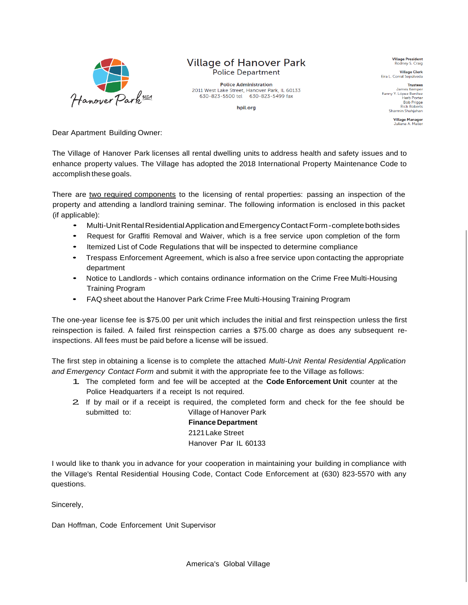

## **Village of Hanover Park Police Department**

**Police Administration** 2011 West Lake Street, Hanover Park, IL 60133 630-823-5500 tel 630-823-5499 fax

hpil.org

**Village President** Rodney S. Craig

Village Clerk<br>Eira L. Corral Sepúlveda

**Trustees** James Kemper James Kemper<br>Fanny Y. López Benítez<br>Herb Porter **Bob Prigge**<br>Rick Roberts Sharmin Shahjaha

**Village Manager**<br>Juliana A. Maller

Dear Apartment Building Owner:

The Village of Hanover Park licenses all rental dwelling units to address health and safety issues and to enhance property values. The Village has adopted the 2018 International Property Maintenance Code to accomplish these goals.

There are two required components to the licensing of rental properties: passing an inspection of the property and attending a landlord training seminar. The following information is enclosed in this packet (if applicable):

- Multi-UnitRentalResidentialApplication andEmergencyContactForm-complete bothsides
- Request for Graffiti Removal and Waiver, which is <sup>a</sup> free service upon completion of the form
- Itemized List of Code Regulations that will be inspected to determine compliance
- Trespass Enforcement Agreement, which is also <sup>a</sup> free service upon contacting the appropriate department
- Notice to Landlords which contains ordinance information on the Crime Free Multi-Housing Training Program
- FAQ sheet about the Hanover Park Crime Free Multi-Housing Training Program

The one-year license fee is \$75.00 per unit which includes the initial and first reinspection unless the first reinspection is failed. A failed first reinspection carries a \$75.00 charge as does any subsequent reinspections. All fees must be paid before a license will be issued.

The first step in obtaining a license is to complete the attached *Multi-Unit Rental Residential Application and Emergency Contact Form* and submit it with the appropriate fee to the Village as follows:

- 1. The completed form and fee will be accepted at the **Code Enforcement Unit** counter at the Police Headquarters if a receipt Is not required.
- 2. If by mail or if <sup>a</sup> receipt is required, the completed form and check for the fee should be submitted to: Village of Hanover Park

**Finance Department** 2121Lake Street Hanover Par IL 60133

I would like to thank you in advance for your cooperation in maintaining your building in compliance with the Village's Rental Residential Housing Code, Contact Code Enforcement at (630) 823-5570 with any questions.

Sincerely,

Dan Hoffman, Code Enforcement Unit Supervisor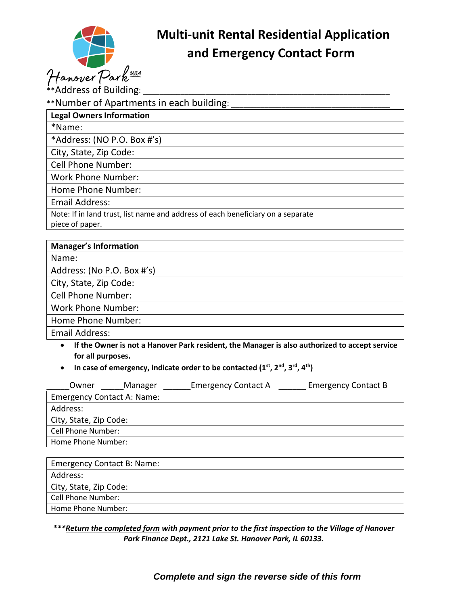

# **Multi-unit Rental Residential Application**

 $**$ Address of Building: \*\*Number of Apartments in each building: **Legal Owners Information** \*Name: \*Address: (NO P.O. Box #'s) City, State, Zip Code: Cell Phone Number: Work Phone Number: Home Phone Number: Email Address: Note: If in land trust, list name and address of each beneficiary on a separate piece of paper.

| <b>Manager's Information</b> |
|------------------------------|
| Name:                        |
| Address: (No P.O. Box #'s)   |
| City, State, Zip Code:       |
| <b>Cell Phone Number:</b>    |
| <b>Work Phone Number:</b>    |
| Home Phone Number:           |
| <b>Email Address:</b>        |

- **If the Owner is not a Hanover Park resident, the Manager is also authorized to accept service for all purposes.**
- **In case of emergency, indicate order to be contacted (1st, 2nd, 3rd, 4th)**

| Owner                             | Manager | <b>Emergency Contact A</b> | <b>Emergency Contact B</b> |  |  |
|-----------------------------------|---------|----------------------------|----------------------------|--|--|
| <b>Emergency Contact A: Name:</b> |         |                            |                            |  |  |
| Address:                          |         |                            |                            |  |  |
| City, State, Zip Code:            |         |                            |                            |  |  |
| <b>Cell Phone Number:</b>         |         |                            |                            |  |  |
| Home Phone Number:                |         |                            |                            |  |  |
|                                   |         |                            |                            |  |  |

| <b>Emergency Contact B: Name:</b> |
|-----------------------------------|
| Address:                          |
| City, State, Zip Code:            |
| Cell Phone Number:                |
| Home Phone Number:                |

#### *\*\*\*Return the completed form with payment prior to the first inspection to the Village of Hanover Park Finance Dept., 2121 Lake St. Hanover Park, IL 60133.*

## *Complete and sign the reverse side of this form*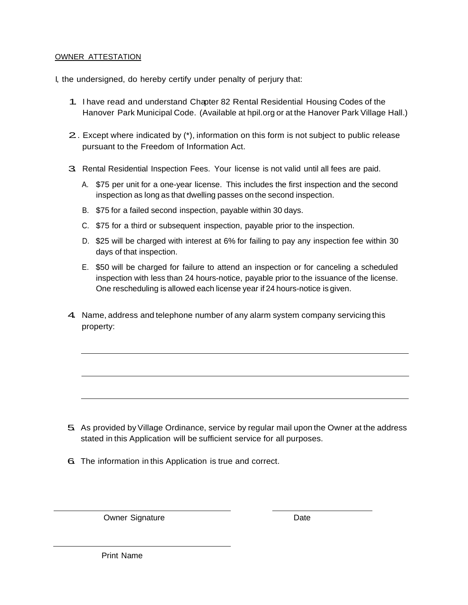#### OWNER ATTESTATION

I, the undersigned, do hereby certify under penalty of perjury that:

- 1. <sup>I</sup> have read and understand Chapter <sup>82</sup> Rental Residential Housing Codes of the Hanover Park Municipal Code. (Available at hpil.org or at the Hanover Park Village Hall.)
- 2.. Except where indicated by (\*), information on this form is not subject to public release pursuant to the Freedom of Information Act.
- 3. Rental Residential Inspection Fees. Your license is not valid until all fees are paid.
	- A. \$75 per unit for a one-year license. This includes the first inspection and the second inspection as long as that dwelling passes on the second inspection.
	- B. \$75 for a failed second inspection, payable within 30 days.
	- C. \$75 for a third or subsequent inspection, payable prior to the inspection.
	- D. \$25 will be charged with interest at 6% for failing to pay any inspection fee within 30 days of that inspection.
	- E. \$50 will be charged for failure to attend an inspection or for canceling a scheduled inspection with less than 24 hours-notice, payable prior to the issuance of the license. One rescheduling is allowed each license year if 24 hours-notice is given.
- 4. Name, address and telephone number of any alarm system company servicing this property:

- 5. As provided by Village Ordinance, service by regular mail upon the Owner at the address stated in this Application will be sufficient service for all purposes.
- 6. The information in this Application is true and correct.

Owner Signature Date

Print Name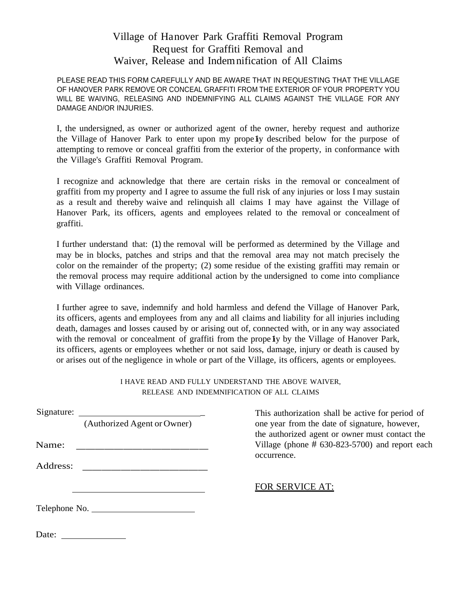## Village of Hanover Park Graffiti Removal Program Request for Graffiti Removal and Waiver, Release and Indemnification of All Claims

PLEASE READ THIS FORM CAREFULLY AND BE AWARE THAT IN REQUESTING THAT THE VILLAGE OF HANOVER PARK REMOVE OR CONCEAL GRAFFITI FROM THE EXTERIOR OF YOUR PROPERTY YOU WILL BE WAIVING, RELEASING AND INDEMNIFYING ALL CLAIMS AGAINST THE VILLAGE FOR ANY DAMAGE AND/OR INJURIES.

I, the undersigned, as owner or authorized agent of the owner, hereby request and authorize the Village of Hanover Park to enter upon my propely described below for the purpose of attempting to remove or conceal graffiti from the exterior of the property, in conformance with the Village's Graffiti Removal Program.

I recognize and acknowledge that there are certain risks in the removal or concealment of graffiti from my property and I agree to assume the full risk of any injuries or loss I may sustain as a result and thereby waive and relinquish all claims I may have against the Village of Hanover Park, its officers, agents and employees related to the removal or concealment of graffiti.

I further understand that: (1) the removal will be performed as determined by the Village and may be in blocks, patches and strips and that the removal area may not match precisely the color on the remainder of the property; (2) some residue of the existing graffiti may remain or the removal process may require additional action by the undersigned to come into compliance with Village ordinances.

I further agree to save, indemnify and hold harmless and defend the Village of Hanover Park, its officers, agents and employees from any and all claims and liability for all injuries including death, damages and losses caused by or arising out of, connected with, or in any way associated with the removal or concealment of graffiti from the prope  $\mathbf{I}$  by the Village of Hanover Park, its officers, agents or employees whether or not said loss, damage, injury or death is caused by or arises out of the negligence in whole or part of the Village, its officers, agents or employees.

#### I HAVE READ AND FULLY UNDERSTAND THE ABOVE WAIVER, RELEASE AND INDEMNIFICATION OF ALL CLAIMS

| Name:    | Signature:<br>(Authorized Agent or Owner) | This authorization shall be active for period of<br>one year from the date of signature, however,<br>the authorized agent or owner must contact the<br>Village (phone $# 630-823-5700$ ) and report each |  |
|----------|-------------------------------------------|----------------------------------------------------------------------------------------------------------------------------------------------------------------------------------------------------------|--|
| Address: |                                           | occurrence.<br>FOR SERVICE AT:                                                                                                                                                                           |  |
|          | Telephone No.                             |                                                                                                                                                                                                          |  |
|          | Date: $\qquad \qquad \qquad$              |                                                                                                                                                                                                          |  |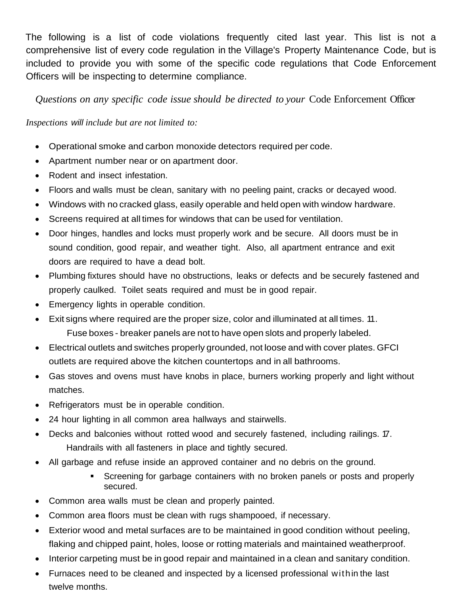The following is a list of code violations frequently cited last year. This list is not a comprehensive list of every code regulation in the Village's Property Maintenance Code, but is included to provide you with some of the specific code regulations that Code Enforcement Officers will be inspecting to determine compliance.

*Questions on any specific code issue should be directed to your* Code Enforcement Officer

## *Inspections will include but are not limited to:*

- Operational smoke and carbon monoxide detectors required per code.
- Apartment number near or on apartment door.
- Rodent and insect infestation.
- Floors and walls must be clean, sanitary with no peeling paint, cracks or decayed wood.
- Windows with no cracked glass, easily operable and held open with window hardware.
- Screens required at all times for windows that can be used for ventilation.
- Door hinges, handles and locks must properly work and be secure. All doors must be in sound condition, good repair, and weather tight. Also, all apartment entrance and exit doors are required to have a dead bolt.
- Plumbing fixtures should have no obstructions, leaks or defects and be securely fastened and properly caulked. Toilet seats required and must be in good repair.
- Emergency lights in operable condition.
- Exit signs where required are the proper size, color and illuminated at all times. 11. Fuse boxes - breaker panels are not to have open slots and properly labeled.
- Electrical outlets and switches properly grounded, not loose and with cover plates. GFCI outlets are required above the kitchen countertops and in all bathrooms.
- Gas stoves and ovens must have knobs in place, burners working properly and light without matches.
- Refrigerators must be in operable condition.
- 24 hour lighting in all common area hallways and stairwells.
- Decks and balconies without rotted wood and securely fastened, including railings. T. Handrails with all fasteners in place and tightly secured.
- All garbage and refuse inside an approved container and no debris on the ground.
	- Screening for garbage containers with no broken panels or posts and properly secured.
- Common area walls must be clean and properly painted.
- Common area floors must be clean with rugs shampooed, if necessary.
- Exterior wood and metal surfaces are to be maintained in good condition without peeling, flaking and chipped paint, holes, loose or rotting materials and maintained weatherproof.
- Interior carpeting must be in good repair and maintained in a clean and sanitary condition.
- Furnaces need to be cleaned and inspected by a licensed professional within the last twelve months.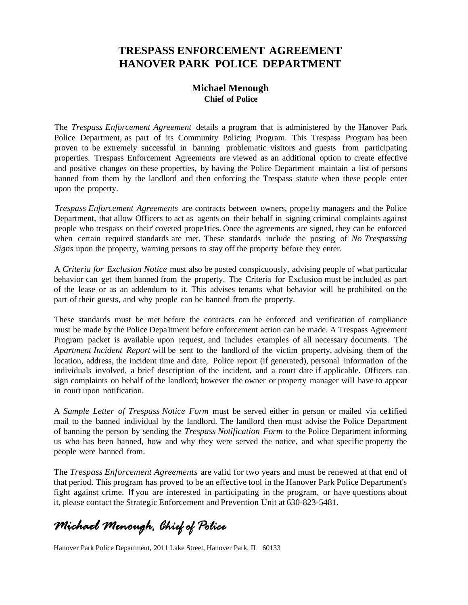# **TRESPASS ENFORCEMENT AGREEMENT HANOVER PARK POLICE DEPARTMENT**

## **Michael Menough Chief of Police**

The *Trespass Enforcement Agreement* details a program that is administered by the Hanover Park Police Department, as part of its Community Policing Program. This Trespass Program has been proven to be extremely successful in banning problematic visitors and guests from participating properties. Trespass Enforcement Agreements are viewed as an additional option to create effective and positive changes on these properties, by having the Police Department maintain a list of persons banned from them by the landlord and then enforcing the Trespass statute when these people enter upon the property.

*Trespass Enforcement Agreements* are contracts between owners, prope1ty managers and the Police Department, that allow Officers to act as agents on their behalf in signing criminal complaints against people who trespass on their' coveted prope1ties. Once the agreements are signed, they can be enforced when certain required standards are met. These standards include the posting of *No Trespassing Signs* upon the property, warning persons to stay off the property before they enter.

A *Criteria for Exclusion Notice* must also be posted conspicuously, advising people of what particular behavior can get them banned from the property. The Criteria for Exclusion must be included as part of the lease or as an addendum to it. This advises tenants what behavior will be prohibited on the part of their guests, and why people can be banned from the property.

These standards must be met before the contracts can be enforced and verification of compliance must be made by the Police Depa1tment before enforcement action can be made. A Trespass Agreement Program packet is available upon request, and includes examples of all necessary documents. The *Apartment Incident Report* will be sent to the landlord of the victim property, advising them of the location, address, the incident time and date, Police report (if generated), personal information of the individuals involved, a brief description of the incident, and a court date if applicable. Officers can sign complaints on behalf of the landlord; however the owner or property manager will have to appear in court upon notification.

A *Sample Letter of Trespass Notice Form* must be served either in person or mailed via ce1tified mail to the banned individual by the landlord. The landlord then must advise the Police Department of banning the person by sending the *Trespass Notification Form* to the Police Department informing us who has been banned, how and why they were served the notice, and what specific property the people were banned from.

The *Trespass Enforcement Agreements* are valid for two years and must be renewed at that end of that period. This program has proved to be an effective tool in the Hanover Park Police Department's fight against crime. If you are interested in participating in the program, or have questions about it, please contact the Strategic Enforcement and Prevention Unit at 630-823-5481.

Michael Menough, Chief of Police

Hanover Park Police Department, 2011 Lake Street, Hanover Park, IL 60133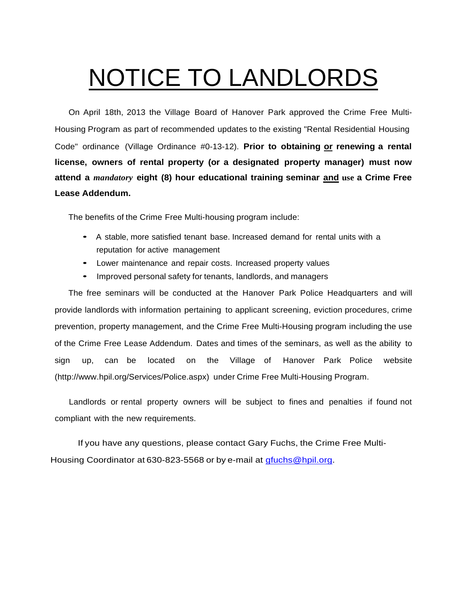# NOTICE TO LANDLORDS

On April 18th, 2013 the Village Board of Hanover Park approved the Crime Free Multi-Housing Program as part of recommended updates to the existing "Rental Residential Housing Code" ordinance (Village Ordinance #0-13-12). **Prior to obtaining or renewing a rental license, owners of rental property (or a designated property manager) must now attend a** *mandatory* **eight (8) hour educational training seminar and use a Crime Free Lease Addendum.**

The benefits of the Crime Free Multi-housing program include:

- <sup>A</sup> stable, more satisfied tenant base. Increased demand for rental units with <sup>a</sup> reputation for active management
- Lower maintenance and repair costs. Increased property values
- Improved personal safety for tenants, landlords, and managers

The free seminars will be conducted at the Hanover Park Police Headquarters and will provide landlords with information pertaining to applicant screening, eviction procedures, crime prevention, property management, and the Crime Free Multi-Housing program including the use of the Crime Free Lease Addendum. Dates and times of the seminars, as well as the ability to sign up, can be located on the Village of Hanover Park Police website [\(http://www.hpil.org/Services/Police.aspx\)](http://www.hpil.org/Services/Police.aspx)) under Crime Free Multi-Housing Program.

Landlords or rental property owners will be subject to fines and penalties if found not compliant with the new requirements.

If you have any questions, please contact Gary Fuchs, the Crime Free Multi-Housing Coordinator at 630-823-5568 or by e-mail at [gfuchs@hpil.org.](mailto:gfuchs@hpil.org)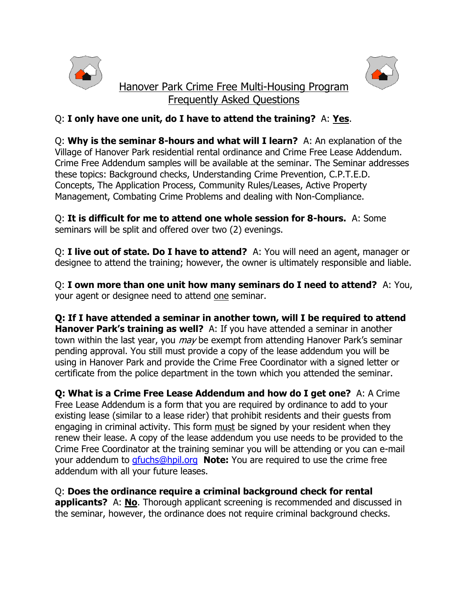



## Q: **I only have one unit, do I have to attend the training?** A: **Yes**.

Q: **Why is the seminar 8-hours and what will I learn?** A: An explanation of the Village of Hanover Park residential rental ordinance and Crime Free Lease Addendum. Crime Free Addendum samples will be available at the seminar. The Seminar addresses these topics: Background checks, Understanding Crime Prevention, C.P.T.E.D. Concepts, The Application Process, Community Rules/Leases, Active Property Management, Combating Crime Problems and dealing with Non-Compliance.

Q: **It is difficult for me to attend one whole session for 8-hours.** A: Some seminars will be split and offered over two (2) evenings.

Q: **I live out of state. Do I have to attend?** A: You will need an agent, manager or designee to attend the training; however, the owner is ultimately responsible and liable.

Q: **I own more than one unit how many seminars do I need to attend?** A: You, your agent or designee need to attend one seminar.

**Q: If I have attended a seminar in another town, will I be required to attend Hanover Park's training as well?** A: If you have attended a seminar in another town within the last year, you *may* be exempt from attending Hanover Park's seminar pending approval. You still must provide a copy of the lease addendum you will be using in Hanover Park and provide the Crime Free Coordinator with a signed letter or certificate from the police department in the town which you attended the seminar.

**Q: What is a Crime Free Lease Addendum and how do I get one?** A: A Crime Free Lease Addendum is a form that you are required by ordinance to add to your existing lease (similar to a lease rider) that prohibit residents and their guests from engaging in criminal activity. This form must be signed by your resident when they renew their lease. A copy of the lease addendum you use needs to be provided to the Crime Free Coordinator at the training seminar you will be attending or you can e-mail your addendum to [gfuchs@hpil.org](mailto:gfuchs@hpil.org) **Note:** You are required to use the crime free addendum with all your future leases.

Q: **Does the ordinance require a criminal background check for rental applicants?** A: **No**. Thorough applicant screening is recommended and discussed in the seminar, however, the ordinance does not require criminal background checks.